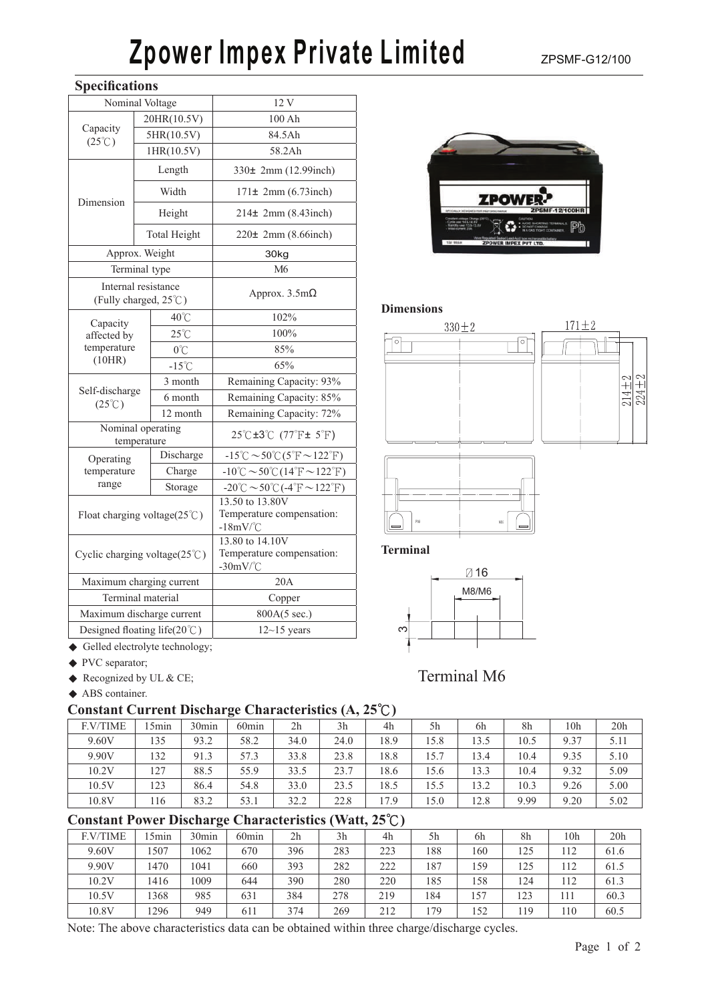# **Zpower Impex Private Limited** ZPSMF-G12/100

## **Specifications**

| щ                                        |                                               |                                                                                            |  |  |  |  |
|------------------------------------------|-----------------------------------------------|--------------------------------------------------------------------------------------------|--|--|--|--|
|                                          | Nominal Voltage                               | 12 V                                                                                       |  |  |  |  |
|                                          | 20HR(10.5V)                                   | 100 Ah                                                                                     |  |  |  |  |
| Capacity<br>$(25^{\circ}\text{C})$       | 5HR(10.5V)                                    | 84.5Ah                                                                                     |  |  |  |  |
|                                          | 1HR(10.5V)                                    | 58.2Ah                                                                                     |  |  |  |  |
|                                          | Length                                        | 330± 2mm (12.99inch)                                                                       |  |  |  |  |
| Dimension                                | Width                                         | 171± 2mm (6.73inch)                                                                        |  |  |  |  |
|                                          | Height                                        | 214± 2mm (8.43inch)                                                                        |  |  |  |  |
|                                          | <b>Total Height</b>                           | 220± 2mm (8.66inch)                                                                        |  |  |  |  |
|                                          | Approx. Weight                                | 30kg                                                                                       |  |  |  |  |
|                                          | Terminal type                                 | M6                                                                                         |  |  |  |  |
|                                          | Internal resistance<br>(Fully charged, 25°C)  | Approx. $3.5m\Omega$                                                                       |  |  |  |  |
| Capacity                                 | 40°C                                          | 102%                                                                                       |  |  |  |  |
| affected by                              | $25^{\circ}$ C                                | 100%                                                                                       |  |  |  |  |
| temperature                              | $0^{\circ}$ C                                 | 85%                                                                                        |  |  |  |  |
| (10HR)                                   | $-15^{\circ}$ C                               | 65%                                                                                        |  |  |  |  |
|                                          | 3 month                                       | Remaining Capacity: 93%                                                                    |  |  |  |  |
| Self-discharge<br>$(25^{\circ}\text{C})$ | 6 month                                       | Remaining Capacity: 85%                                                                    |  |  |  |  |
|                                          | 12 month                                      | Remaining Capacity: 72%                                                                    |  |  |  |  |
|                                          | Nominal operating<br>temperature              | $25^{\circ}$ C $\pm 3^{\circ}$ C $(77^{\circ}$ F $\pm 5^{\circ}$ F)                        |  |  |  |  |
| Operating                                | Discharge                                     | $-15^{\circ}\text{C} \sim 50^{\circ}\text{C} (5^{\circ}\text{F} \sim 122^{\circ}\text{F})$ |  |  |  |  |
| temperature                              | Charge                                        | $-10^{\circ}$ C $\sim$ 50 $^{\circ}$ C(14 $^{\circ}$ F $\sim$ 122 $^{\circ}$ F)            |  |  |  |  |
| range                                    | Storage                                       | $-20^{\circ}$ C $\sim$ 50 $^{\circ}$ C ( $-4^{\circ}$ F $\sim$ 122 $^{\circ}$ F)           |  |  |  |  |
|                                          | Float charging voltage( $25^{\circ}$ C)       | 13.50 to 13.80V<br>Temperature compensation:<br>$-18mV$ <sup>°</sup> C                     |  |  |  |  |
|                                          | Cyclic charging voltage( $25^{\circ}$ C)      | 13.80 to 14.10V<br>Temperature compensation:<br>$-30mV$ <sup>°</sup> C                     |  |  |  |  |
|                                          | Maximum charging current                      | 20A                                                                                        |  |  |  |  |
|                                          | Terminal material                             | Copper                                                                                     |  |  |  |  |
|                                          | Maximum discharge current                     | 800A(5 sec.)                                                                               |  |  |  |  |
|                                          | Designed floating life $(20^{\circ}\text{C})$ | $12 - 15$ years                                                                            |  |  |  |  |



#### **Dimensions**



**Terminal** 



Terminal M6

- ◆ Gelled electrolyte technology;
- ◆ PVC separator;
- ◆ Recognized by UL & CE;
- ◆ ABS container.

## **Constant Current Discharge Characteristics (A, 25**℃**)**

| <b>F.V/TIME</b> | l 5min | 30 <sub>min</sub> | 60 <sub>min</sub> | 2 <sub>h</sub> | 3h   | 4h   | 5h   | 6h   | 8h   | 10 <sub>h</sub> | 20 <sub>h</sub> |
|-----------------|--------|-------------------|-------------------|----------------|------|------|------|------|------|-----------------|-----------------|
| 9.60V           | 135    | 93.2              | 58.2              | 34.0           | 24.0 | 18.9 | 15.8 | 13.5 | 10.5 | 9.37            | 5.11            |
| 9.90V           | 132    | 91.3              | 57.3              | 33.8           | 23.8 | 18.8 | 15.7 | 13.4 | 10.4 | 9.35            | 5.10            |
| 10.2V           | 127    | 88.5              | 55.9              | 33.5           | 23.7 | 18.6 | 15.6 | 13.3 | 10.4 | 9.32            | 5.09            |
| 10.5V           | 123    | 86.4              | 54.8              | 33.0           | 23.5 | 18.5 | 15.5 | 13.2 | 10.3 | 9.26            | 5.00            |
| 10.8V           | 116    | 83.2              | 53.1              | 32.2           | 22.8 | 17.9 | 15.0 | 12.8 | 9.99 | 9.20            | 5.02            |

## **Constant Power Discharge Characteristics (Watt, 25**℃**)**

|                 |                  | o                 |                   |     |                |     |                |     |     |     |      |
|-----------------|------------------|-------------------|-------------------|-----|----------------|-----|----------------|-----|-----|-----|------|
| <b>F.V/TIME</b> | 5 <sub>min</sub> | 30 <sub>min</sub> | 60 <sub>min</sub> | 2h  | 3 <sub>h</sub> | 4h  | 5 <sub>h</sub> | 6h  | 8h  | 10h | 20h  |
| 9.60V           | 1507             | 1062              | 670               | 396 | 283            | 223 | 188            | 160 | 125 | 112 | 61.6 |
| 9.90V           | 1470             | 1041              | 660               | 393 | 282            | 222 | 187            | 159 | 125 | 112 | 61.5 |
| 10.2V           | 1416             | 1009              | 644               | 390 | 280            | 220 | 185            | 158 | 124 | 112 | 61.3 |
| 10.5V           | 1368             | 985               | 631               | 384 | 278            | 219 | 184            | 157 | 123 | 111 | 60.3 |
| 10.8V           | 1296             | 949               | 611               | 374 | 269            | 212 | .79            | 152 | 119 | 110 | 60.5 |

Note: The above characteristics data can be obtained within three charge/discharge cycles.

#### Page 1 of 2